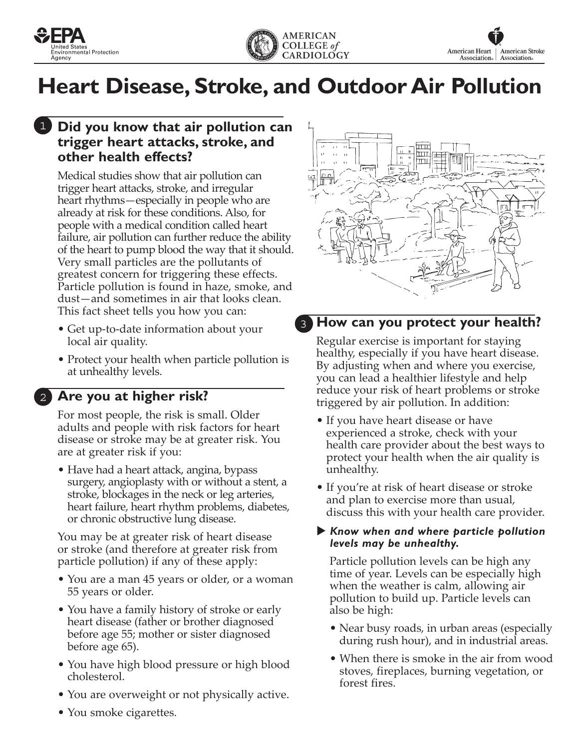



# **Heart Disease, Stroke, and Outdoor Air Pollution**

#### **1** Did you know that air pollution can **trigger heart attacks, stroke, and other health effects?**

Medical studies show that air pollution can trigger heart attacks, stroke, and irregular heart rhythms—especially in people who are already at risk for these conditions. Also, for people with a medical condition called heart failure, air pollution can further reduce the ability of the heart to pump blood the way that it should. Very small particles are the pollutants of greatest concern for triggering these effects. Particle pollution is found in haze, smoke, and dust—and sometimes in air that looks clean. This fact sheet tells you how you can:

- Get up-to-date information about your local air quality.
- Protect your health when particle pollution is at unhealthy levels.

### **Are you at higher risk?** 2

For most people, the risk is small. Older adults and people with risk factors for heart disease or stroke may be at greater risk. You are at greater risk if you:

• Have had a heart attack, angina, bypass surgery, angioplasty with or without a stent, a stroke, blockages in the neck or leg arteries, heart failure, heart rhythm problems, diabetes, or chronic obstructive lung disease.

You may be at greater risk of heart disease or stroke (and therefore at greater risk from particle pollution) if any of these apply:

- You are a man 45 years or older, or a woman 55 years or older.
- You have a family history of stroke or early heart disease (father or brother diagnosed before age 55; mother or sister diagnosed before age 65).
- You have high blood pressure or high blood cholesterol.
- You are overweight or not physically active.
- You smoke cigarettes.



#### **How can you protect your health?** 3

Regular exercise is important for staying healthy, especially if you have heart disease. By adjusting when and where you exercise, you can lead a healthier lifestyle and help reduce your risk of heart problems or stroke triggered by air pollution. In addition:

- If you have heart disease or have experienced a stroke, check with your health care provider about the best ways to protect your health when the air quality is unhealthy.
- If you're at risk of heart disease or stroke and plan to exercise more than usual, discuss this with your health care provider.

#### X *Know when and where particle pollution levels may be unhealthy.*

Particle pollution levels can be high any time of year. Levels can be especially high when the weather is calm, allowing air pollution to build up. Particle levels can also be high:

- Near busy roads, in urban areas (especially during rush hour), and in industrial areas.
- When there is smoke in the air from wood stoves, fireplaces, burning vegetation, or forest fires.